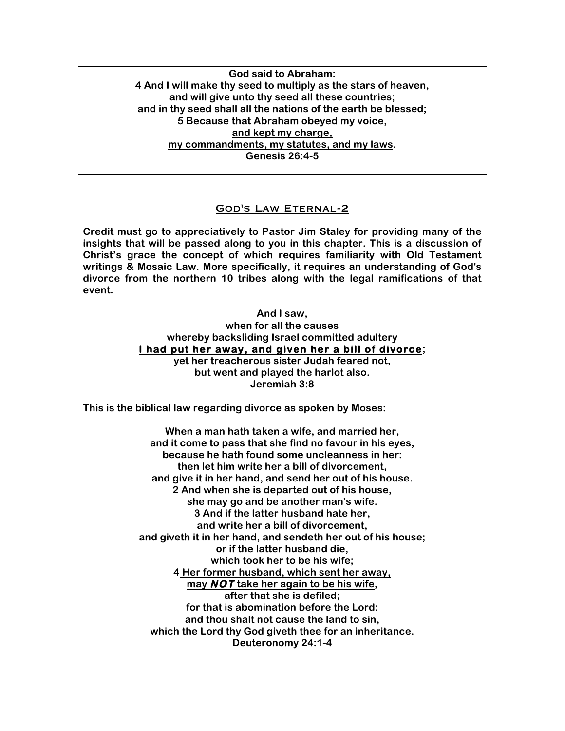**God said to Abraham: 4 And I will make thy seed to multiply as the stars of heaven, and will give unto thy seed all these countries; and in thy seed shall all the nations of the earth be blessed; 5 Because that Abraham obeyed my voice, and kept my charge, my commandments, my statutes, and my laws. Genesis 26:4-5**

# God's Law Eternal-2

**Credit must go to appreciatively to Pastor Jim Staley for providing many of the insights that will be passed along to you in this chapter. This is a discussion of Christ's grace the concept of which requires familiarity with Old Testament writings & Mosaic Law. More specifically, it requires an understanding of God's divorce from the northern 10 tribes along with the legal ramifications of that event.**

> **And I saw, when for all the causes whereby backsliding Israel committed adultery I had put her away, and given her a bill of divorce; yet her treacherous sister Judah feared not, but went and played the harlot also. Jeremiah 3:8**

**This is the biblical law regarding divorce as spoken by Moses:**

**When a man hath taken a wife, and married her, and it come to pass that she find no favour in his eyes, because he hath found some uncleanness in her: then let him write her a bill of divorcement, and give it in her hand, and send her out of his house. 2 And when she is departed out of his house, she may go and be another man's wife. 3 And if the latter husband hate her, and write her a bill of divorcement, and giveth it in her hand, and sendeth her out of his house; or if the latter husband die, which took her to be his wife; 4 Her former husband, which sent her away, may NOT take her again to be his wife, after that she is defiled; for that is abomination before the Lord: and thou shalt not cause the land to sin, which the Lord thy God giveth thee for an inheritance. Deuteronomy 24:1-4**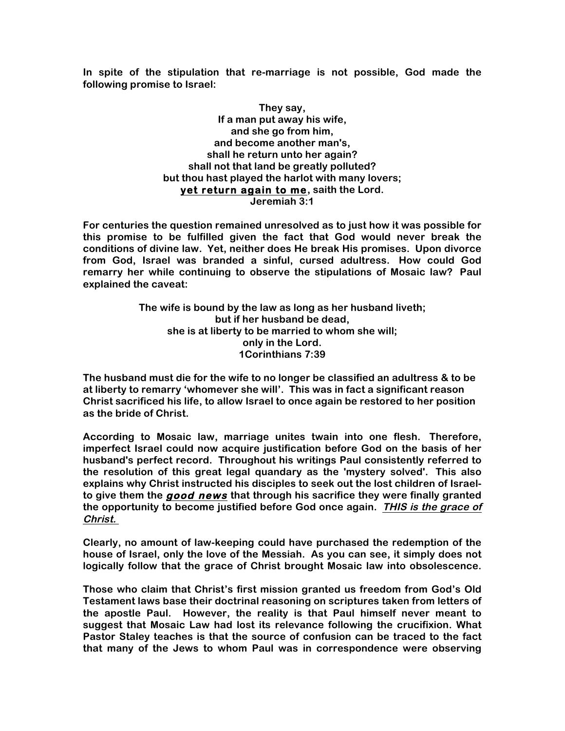**In spite of the stipulation that re-marriage is not possible, God made the following promise to Israel:**

> **They say, If a man put away his wife, and she go from him, and become another man's, shall he return unto her again? shall not that land be greatly polluted? but thou hast played the harlot with many lovers; yet return again to me, saith the Lord. Jeremiah 3:1**

**For centuries the question remained unresolved as to just how it was possible for this promise to be fulfilled given the fact that God would never break the conditions of divine law. Yet, neither does He break His promises. Upon divorce from God, Israel was branded a sinful, cursed adultress. How could God remarry her while continuing to observe the stipulations of Mosaic law? Paul explained the caveat:**

> **The wife is bound by the law as long as her husband liveth; but if her husband be dead, she is at liberty to be married to whom she will; only in the Lord. 1Corinthians 7:39**

**The husband must die for the wife to no longer be classified an adultress & to be at liberty to remarry 'whomever she will'. This was in fact a significant reason Christ sacrificed his life, to allow Israel to once again be restored to her position as the bride of Christ.**

**According to Mosaic law, marriage unites twain into one flesh. Therefore, imperfect Israel could now acquire justification before God on the basis of her husband's perfect record. Throughout his writings Paul consistently referred to the resolution of this great legal quandary as the 'mystery solved'. This also explains why Christ instructed his disciples to seek out the lost children of Israelto give them the good news that through his sacrifice they were finally granted the opportunity to become justified before God once again. THIS is the grace of Christ.**

**Clearly, no amount of law-keeping could have purchased the redemption of the house of Israel, only the love of the Messiah. As you can see, it simply does not logically follow that the grace of Christ brought Mosaic law into obsolescence.**

**Those who claim that Christ's first mission granted us freedom from God's Old Testament laws base their doctrinal reasoning on scriptures taken from letters of the apostle Paul. However, the reality is that Paul himself never meant to suggest that Mosaic Law had lost its relevance following the crucifixion. What Pastor Staley teaches is that the source of confusion can be traced to the fact that many of the Jews to whom Paul was in correspondence were observing**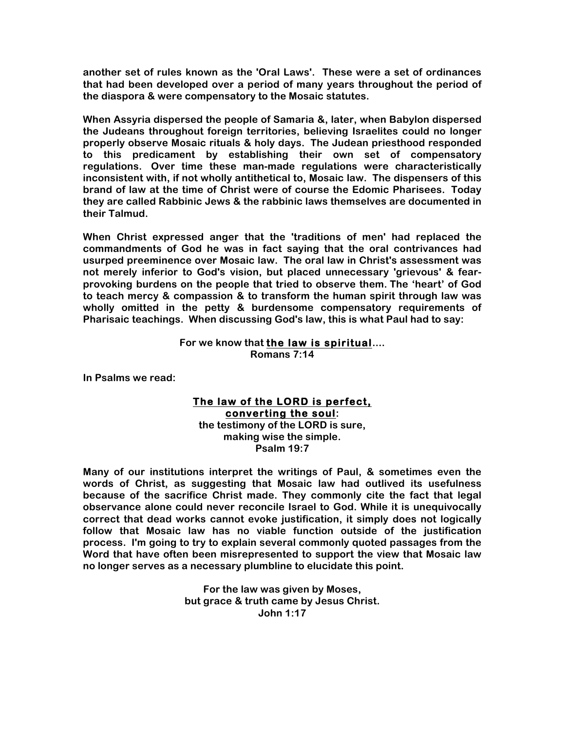**another set of rules known as the 'Oral Laws'. These were a set of ordinances that had been developed over a period of many years throughout the period of the diaspora & were compensatory to the Mosaic statutes.**

**When Assyria dispersed the people of Samaria &, later, when Babylon dispersed the Judeans throughout foreign territories, believing Israelites could no longer properly observe Mosaic rituals & holy days. The Judean priesthood responded to this predicament by establishing their own set of compensatory regulations. Over time these man-made regulations were characteristically inconsistent with, if not wholly antithetical to, Mosaic law. The dispensers of this brand of law at the time of Christ were of course the Edomic Pharisees. Today they are called Rabbinic Jews & the rabbinic laws themselves are documented in their Talmud.**

**When Christ expressed anger that the 'traditions of men' had replaced the commandments of God he was in fact saying that the oral contrivances had usurped preeminence over Mosaic law. The oral law in Christ's assessment was not merely inferior to God's vision, but placed unnecessary 'grievous' & fearprovoking burdens on the people that tried to observe them. The 'heart' of God to teach mercy & compassion & to transform the human spirit through law was wholly omitted in the petty & burdensome compensatory requirements of Pharisaic teachings. When discussing God's law, this is what Paul had to say:**

#### **For we know that the law is spiritual.... Romans 7:14**

**In Psalms we read:**

### **The law of the LORD is perfect, converting the soul: the testimony of the LORD is sure, making wise the simple.**

**Psalm 19:7**

**Many of our institutions interpret the writings of Paul, & sometimes even the words of Christ, as suggesting that Mosaic law had outlived its usefulness because of the sacrifice Christ made. They commonly cite the fact that legal observance alone could never reconcile Israel to God. While it is unequivocally correct that dead works cannot evoke justification, it simply does not logically follow that Mosaic law has no viable function outside of the justification process. I'm going to try to explain several commonly quoted passages from the Word that have often been misrepresented to support the view that Mosaic law no longer serves as a necessary plumbline to elucidate this point.**

> **For the law was given by Moses, but grace & truth came by Jesus Christ. John 1:17**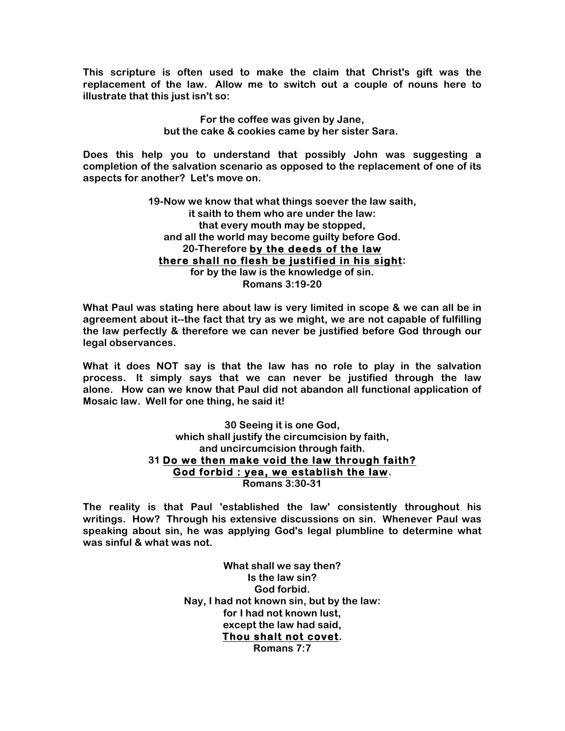**This scripture is often used to make the claim that Christ's gift was the replacement of the law. Allow me to switch out a couple of nouns here to illustrate that this just isn't so:**

> **For the coffee was given by Jane, but the cake & cookies came by her sister Sara.**

**Does this help you to understand that possibly John was suggesting a completion of the salvation scenario as opposed to the replacement of one of its aspects for another? Let's move on.**

> **19-Now we know that what things soever the law saith, it saith to them who are under the law: that every mouth may be stopped, and all the world may become guilty before God. 20-Therefore by the deeds of the law there shall no flesh be justified in his sight: for by the law is the knowledge of sin. Romans 3:19-20**

**What Paul was stating here about law is very limited in scope & we can all be in agreement about it--the fact that try as we might, we are not capable of fulfilling the law perfectly & therefore we can never be justified before God through our legal observances.**

**What it does NOT say is that the law has no role to play in the salvation process. It simply says that we can never be justified through the law alone. How can we know that Paul did not abandon all functional application of Mosaic law. Well for one thing, he said it!**

> **30 Seeing it is one God, which shall justify the circumcision by faith, and uncircumcision through faith. 31 Do we then make void the law through faith? God forbid : yea, we establish the law. Romans 3:30-31**

**The reality is that Paul 'established the law' consistently throughout his writings. How? Through his extensive discussions on sin. Whenever Paul was speaking about sin, he was applying God's legal plumbline to determine what was sinful & what was not.**

> **What shall we say then? Is the law sin? God forbid. Nay, I had not known sin, but by the law: for I had not known lust, except the law had said, Thou shalt not covet. Romans 7:7**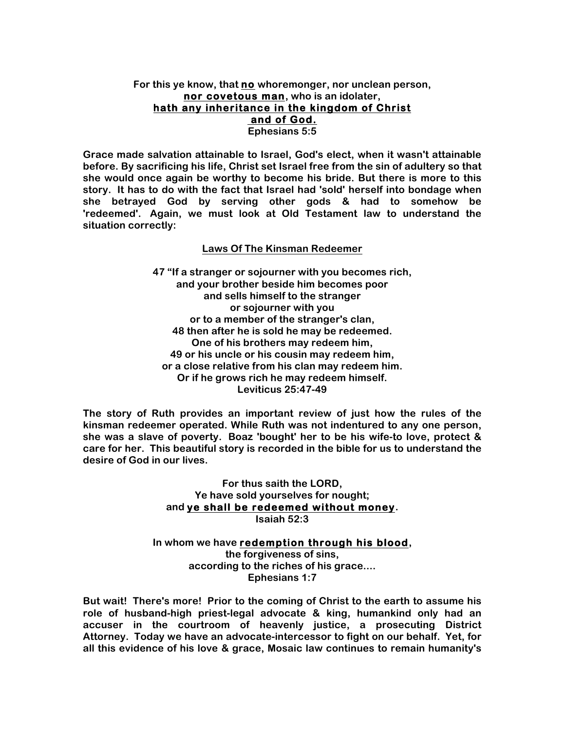### **For this ye know, that no whoremonger, nor unclean person, nor covetous man, who is an idolater, hath any inheritance in the kingdom of Christ and of God. Ephesians 5:5**

**Grace made salvation attainable to Israel, God's elect, when it wasn't attainable before. By sacrificing his life, Christ set Israel free from the sin of adultery so that she would once again be worthy to become his bride. But there is more to this story. It has to do with the fact that Israel had 'sold' herself into bondage when she betrayed God by serving other gods & had to somehow be 'redeemed'. Again, we must look at Old Testament law to understand the situation correctly:**

# **Laws Of The Kinsman Redeemer**

**47 "If a stranger or sojourner with you becomes rich, and your brother beside him becomes poor and sells himself to the stranger or sojourner with you or to a member of the stranger's clan, 48 then after he is sold he may be redeemed. One of his brothers may redeem him, 49 or his uncle or his cousin may redeem him, or a close relative from his clan may redeem him. Or if he grows rich he may redeem himself. Leviticus 25:47-49**

**The story of Ruth provides an important review of just how the rules of the kinsman redeemer operated. While Ruth was not indentured to any one person, she was a slave of poverty. Boaz 'bought' her to be his wife-to love, protect & care for her. This beautiful story is recorded in the bible for us to understand the desire of God in our lives.**

> **For thus saith the LORD, Ye have sold yourselves for nought; and ye shall be redeemed without money. Isaiah 52:3**

**In whom we have redemption through his blood, the forgiveness of sins, according to the riches of his grace.... Ephesians 1:7**

**But wait! There's more! Prior to the coming of Christ to the earth to assume his role of husband-high priest-legal advocate & king, humankind only had an accuser in the courtroom of heavenly justice, a prosecuting District Attorney. Today we have an advocate-intercessor to fight on our behalf. Yet, for all this evidence of his love & grace, Mosaic law continues to remain humanity's**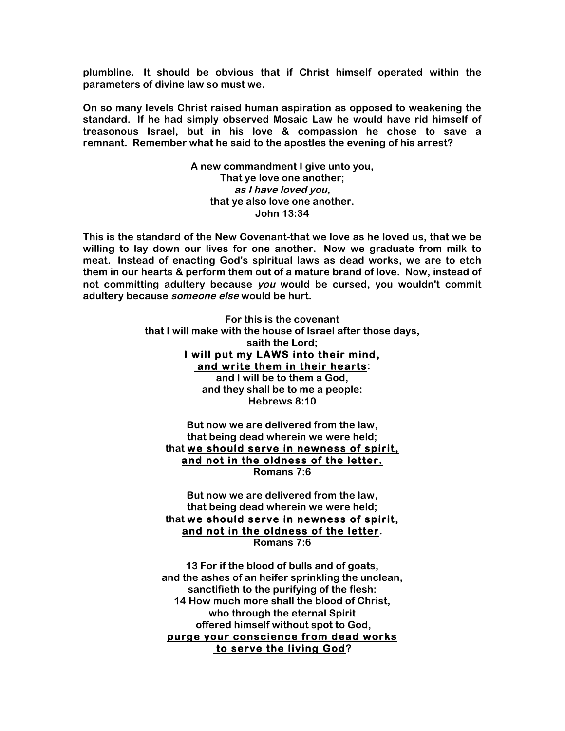**plumbline. It should be obvious that if Christ himself operated within the parameters of divine law so must we.**

**On so many levels Christ raised human aspiration as opposed to weakening the standard. If he had simply observed Mosaic Law he would have rid himself of treasonous Israel, but in his love & compassion he chose to save a remnant. Remember what he said to the apostles the evening of his arrest?**

> **A new commandment I give unto you, That ye love one another; as I have loved you, that ye also love one another. John 13:34**

**This is the standard of the New Covenant-that we love as he loved us, that we be willing to lay down our lives for one another. Now we graduate from milk to meat. Instead of enacting God's spiritual laws as dead works, we are to etch them in our hearts & perform them out of a mature brand of love. Now, instead of not committing adultery because you would be cursed, you wouldn't commit adultery because someone else would be hurt.**

> **For this is the covenant that I will make with the house of Israel after those days, saith the Lord; I will put my LAWS into their mind, and write them in their hearts: and I will be to them a God, and they shall be to me a people: Hebrews 8:10**

**But now we are delivered from the law, that being dead wherein we were held; that we should serve in newness of spirit, and not in the oldness of the letter. Romans 7:6**

**But now we are delivered from the law, that being dead wherein we were held; that we should serve in newness of spirit, and not in the oldness of the letter. Romans 7:6**

**13 For if the blood of bulls and of goats, and the ashes of an heifer sprinkling the unclean, sanctifieth to the purifying of the flesh: 14 How much more shall the blood of Christ, who through the eternal Spirit offered himself without spot to God, purge your conscience from dead works to serve the living God?**